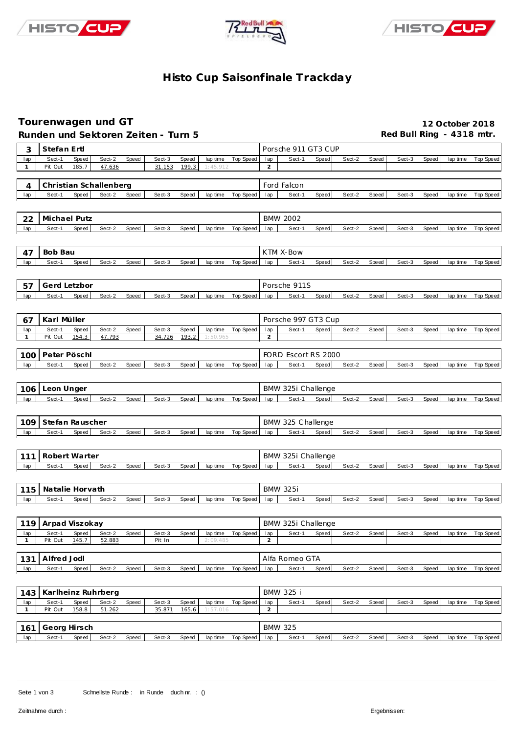





#### **Histo Cup Saisonfinale Trackday**

#### **Tourenwagen und GT 12 October 2018**

|              | Runden und Sektoren Zeiten - Turn 5 |                |                        |       |                  |       |                      |                  |                       |                              |       |        |       | Red Bull Ring - 4318 mtr. |       |          |                  |
|--------------|-------------------------------------|----------------|------------------------|-------|------------------|-------|----------------------|------------------|-----------------------|------------------------------|-------|--------|-------|---------------------------|-------|----------|------------------|
| 3            | Stefan Ertl                         |                |                        |       |                  |       |                      |                  |                       | Porsche 911 GT3 CUP          |       |        |       |                           |       |          |                  |
| lap          | Sect-1                              | Speed          | Sect-2                 | Speed | Sect-3           | Speed | lap time             | Top Speed        | lap                   | Sect-1                       | Speed | Sect-2 | Speed | Sect-3                    | Speed | lap time | Top Speed        |
| $\mathbf{1}$ | Pit Out                             | 185.7          | 47.636                 |       | 31.153           | 199.3 | 1:45.912             |                  | $\overline{2}$        |                              |       |        |       |                           |       |          |                  |
| 4            |                                     |                | Christian Schallenberg |       |                  |       |                      |                  |                       | Ford Falcon                  |       |        |       |                           |       |          |                  |
| lap          | Sect-1                              | Speed          | Sect-2                 | Speed | Sect-3           | Speed | lap time             | <b>Top Speed</b> | lap                   | Sect-1                       | Speed | Sect-2 | Speed | Sect-3                    | Speed | lap time | Top Speed        |
|              |                                     |                |                        |       |                  |       |                      |                  |                       |                              |       |        |       |                           |       |          |                  |
|              | Michael Putz                        |                |                        |       |                  |       |                      |                  |                       | <b>BMW 2002</b>              |       |        |       |                           |       |          |                  |
| 22<br>lap    | Sect-1                              | Speed          | Sect-2                 | Speed | Sect-3           | Speed | lap time             | Top Speed        | lap                   | Sect-1                       | Speed | Sect-2 | Speed | Sect-3                    | Speed | lap time | Top Speed        |
|              |                                     |                |                        |       |                  |       |                      |                  |                       |                              |       |        |       |                           |       |          |                  |
|              |                                     |                |                        |       |                  |       |                      |                  |                       |                              |       |        |       |                           |       |          |                  |
| 47           | Bob Bau                             |                |                        |       |                  |       |                      |                  |                       | KTM X-Bow                    |       |        |       |                           |       |          |                  |
| lap          | Sect-1                              | Speed          | Sect-2                 | Speed | Sect-3           | Speed | lap time             | Top Speed        | lap                   | Sect-1                       | Speed | Sect-2 | Speed | Sect-3                    | Speed | lap time | Top Speed        |
|              |                                     |                |                        |       |                  |       |                      |                  |                       |                              |       |        |       |                           |       |          |                  |
| 57           | Gerd Letzbor                        |                |                        |       |                  |       |                      |                  |                       | Porsche 911S                 |       |        |       |                           |       |          |                  |
| lap          | Sect-1                              | Speed          | Sect-2                 | Speed | Sect-3           | Speed | lap time             | Top Speed        | lap                   | Sect-1                       | Speed | Sect-2 | Speed | Sect-3                    | Speed | lap time | <b>Top Speed</b> |
|              |                                     |                |                        |       |                  |       |                      |                  |                       |                              |       |        |       |                           |       |          |                  |
| 67           | Karl Müller                         |                |                        |       |                  |       |                      |                  |                       | Porsche 997 GT3 Cup          |       |        |       |                           |       |          |                  |
| lap          | Sect-1                              | Speed          | Sect-2<br>47.793       | Speed | Sect-3<br>34.726 | Speed | lap time             | Top Speed        | lap                   | Sect-1                       | Speed | Sect-2 | Speed | Sect-3                    | Speed | lap time | <b>Top Speed</b> |
| $\mathbf{1}$ | Pit Out                             | 154.3          |                        |       |                  | 193.2 | 1:50.965             |                  | $\overline{2}$        |                              |       |        |       |                           |       |          |                  |
| 100          | Peter Pöschl                        |                |                        |       |                  |       |                      |                  |                       | FORD Escort RS 2000          |       |        |       |                           |       |          |                  |
| lap          | Sect-1                              | Speed          | Sect-2                 | Speed | Sect-3           | Speed | lap time             | Top Speed        | lap                   | Sect-1                       | Speed | Sect-2 | Speed | Sect-3                    | Speed | lap time | Top Speed        |
|              |                                     |                |                        |       |                  |       |                      |                  |                       |                              |       |        |       |                           |       |          |                  |
| 106          | Leon Unger                          |                |                        |       |                  |       |                      |                  |                       | BMW 325i Challenge           |       |        |       |                           |       |          |                  |
| lap          | Sect-1                              | Speed          | Sect-2                 | Speed | Sect-3           | Speed | lap time             | Top Speed        | lap                   | Sect-1                       | Speed | Sect-2 | Speed | Sect-3                    | Speed | lap time | <b>Top Speed</b> |
|              |                                     |                |                        |       |                  |       |                      |                  |                       |                              |       |        |       |                           |       |          |                  |
| 109          | Stefan Rauscher                     |                |                        |       |                  |       |                      |                  |                       | BMW 325 Challenge            |       |        |       |                           |       |          |                  |
| lap          | Sect-1                              | Speed          | Sect-2                 | Speed | Sect-3           | Speed | lap time             | Top Speed        | lap                   | Sect-1                       | Speed | Sect-2 | Speed | Sect-3                    | Speed | lap time | Top Speed        |
|              |                                     |                |                        |       |                  |       |                      |                  |                       |                              |       |        |       |                           |       |          |                  |
|              |                                     |                |                        |       |                  |       |                      |                  |                       |                              |       |        |       |                           |       |          |                  |
| 111          | Robert Warter<br>Sect-1             | Speed          | Sect-2                 |       | Sect-3           | Speed |                      |                  |                       | BMW 325i Challenge<br>Sect-1 | Speed | Sect-2 | Speed | Sect-3                    | Speed |          |                  |
| lap          |                                     |                |                        | Speed |                  |       | lap time             | Top Speed        | lap                   |                              |       |        |       |                           |       | lap time | <b>Top Speed</b> |
|              |                                     |                |                        |       |                  |       |                      |                  |                       |                              |       |        |       |                           |       |          |                  |
| 115          | Natalie Horvath                     |                |                        |       |                  |       |                      |                  |                       | <b>BMW 325i</b>              |       |        |       |                           |       |          |                  |
| lap          | Sect-1                              | Speed          | Sect-2                 | Speed | Sect-3           | Speed | lap time             | <b>Top Speed</b> | lap                   | Sect-1                       | Speed | Sect-2 | Speed | Sect-3                    | Speed | lap time | <b>Top Speed</b> |
|              |                                     |                |                        |       |                  |       |                      |                  |                       |                              |       |        |       |                           |       |          |                  |
| 119          | Arpad Viszokay                      |                |                        |       |                  |       |                      |                  |                       | BMW 325i Challenge           |       |        |       |                           |       |          |                  |
| lap          | Sect-1<br>Pit Out                   | Speed<br>145.7 | Sect-2<br>52.883       | Speed | Sect-3           | Speed | lap time<br>2:09.485 | <b>Top Speed</b> | lap<br>$\overline{2}$ | Sect-1                       | Speed | Sect-2 | Speed | Sect-3                    | Speed | lap time | <b>Top Speed</b> |
| $\mathbf{1}$ |                                     |                |                        |       | Pit In           |       |                      |                  |                       |                              |       |        |       |                           |       |          |                  |
| 131          | Alfred Jodl                         |                |                        |       |                  |       |                      |                  |                       | Alfa Romeo GTA               |       |        |       |                           |       |          |                  |
| lap          | Sect-1                              | Speed          | Sect-2                 | Speed | Sect-3           | Speed | lap time             | Top Speed        | lap                   | Sect-1                       | Speed | Sect-2 | Speed | Sect-3                    | Speed | lap time | Top Speed        |
|              |                                     |                |                        |       |                  |       |                      |                  |                       |                              |       |        |       |                           |       |          |                  |
| 143          | Karlheinz Ruhrberg                  |                |                        |       |                  |       |                      |                  |                       | <b>BMW 325 i</b>             |       |        |       |                           |       |          |                  |
| lap          | Sect-1                              | Speed          | Sect-2                 | Speed | Sect-3           | Speed | lap time             | Top Speed        | lap                   | Sect-1                       | Speed | Sect-2 | Speed | Sect-3                    | Speed | lap time | Top Speed        |
| $\mathbf{1}$ | Pit Out                             | 158.8          | 51.262                 |       | 35.871           | 165.6 | 1:57.016             |                  | $\overline{a}$        |                              |       |        |       |                           |       |          |                  |
|              |                                     |                |                        |       |                  |       |                      |                  |                       |                              |       |        |       |                           |       |          |                  |
| 161          | Georg Hirsch                        |                |                        |       |                  |       |                      |                  |                       | <b>BMW 325</b>               |       |        |       |                           |       |          |                  |
| lap          | Sect-1                              | Speed          | Sect-2                 | Speed | Sect-3           | Speed | lap time             | Top Speed        | lap                   | Sect-1                       | Speed | Sect-2 | Speed | Sect-3                    | Speed | lap time | Top Speed        |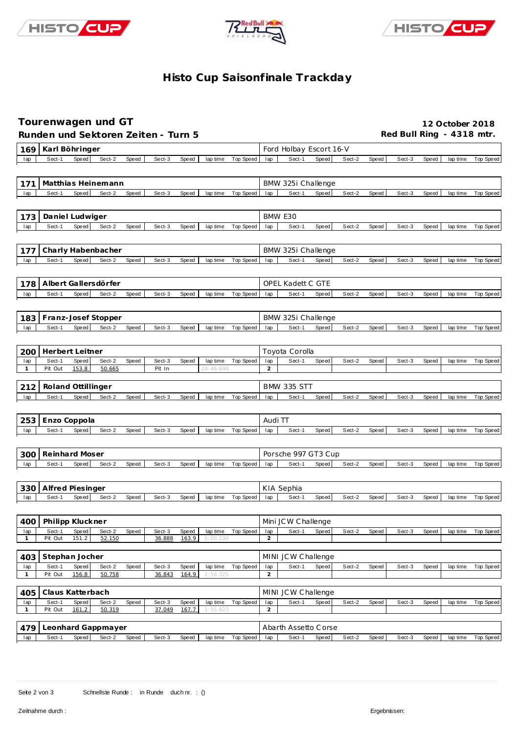





#### **Histo Cup Saisonfinale Trackday**

## **Tourenwagen und GT 12 October 2018**

Runden und Sektoren Zeiten - Turn 5 **an alle an alle Red Bull Ring - 4318 mtr.** 

| 169                 | Karl Böhringer                                                                                                                             | Ford Holbay Escort 16-V                                                                                 |
|---------------------|--------------------------------------------------------------------------------------------------------------------------------------------|---------------------------------------------------------------------------------------------------------|
| lap                 | Sect-1<br>Speed<br>Sect-2<br>Sect-3<br>Speed<br><b>Top Speed</b><br>Speed<br>lap time                                                      | Sect-1<br>Speed<br>Sect-2<br>Speed<br>Top Speed<br>lap<br>Sect-3<br>Speed<br>lap time                   |
|                     |                                                                                                                                            |                                                                                                         |
| 171                 | Matthias Heinemann                                                                                                                         | BMW 325i Challenge                                                                                      |
| lap                 | Sect-1<br>Speed<br>Sect-2<br>Speed<br>Sect-3<br>Top Speed<br>Speed<br>lap time                                                             | Sect-1<br>Speed<br>Sect-2<br>Speed<br>Top Speed<br>lap<br>Sect-3<br>Speed<br>lap time                   |
|                     |                                                                                                                                            |                                                                                                         |
|                     |                                                                                                                                            |                                                                                                         |
| 173                 | Daniel Ludwiger                                                                                                                            | BMW E30                                                                                                 |
| lap                 | Sect-1<br>Speed<br>Sect-2<br>Speed<br>Sect-3<br>Speed<br><b>Top Speed</b><br>lap time                                                      | Sect-1<br>Sect-2<br>Speed<br>Sect-3<br><b>Top Speed</b><br>Speed<br>Speed<br>lap time<br>lap            |
|                     |                                                                                                                                            |                                                                                                         |
| 177                 | Charly Habenbacher                                                                                                                         | BMW 325i Challenge                                                                                      |
| lap                 | Sect-1<br>Sect-2<br>Speed<br>Sect-3<br>Speed<br><b>Top Speed</b><br>Speed<br>lap time                                                      | Sect-1<br>Speed<br>Sect-2<br>Speed<br>Speed<br><b>Top Speed</b><br>lap<br>Sect-3<br>lap time            |
|                     |                                                                                                                                            |                                                                                                         |
| 178                 | Albert Gallersdörfer                                                                                                                       | <b>OPEL Kadett C GTE</b>                                                                                |
| lap                 | Speed<br>Sect-2<br>Speed<br>Sect-3<br><b>Top Speed</b><br>Sect-1<br>Speed<br>lap time                                                      | Sect-1<br>Speed<br>Sect-2<br><b>Top Speed</b><br>Speed<br>Sect-3<br>Speed<br>lap time<br>lap            |
|                     |                                                                                                                                            |                                                                                                         |
| 183                 | Franz-Josef Stopper                                                                                                                        | BMW 325i Challenge                                                                                      |
| lap                 | Sect-1<br>Speed<br>Sect-2<br>Sect-3<br>Top Speed<br>Speed<br>Speed<br>lap time                                                             | Sect-1<br>Speed<br>Sect-2<br>Speed<br>Top Speed<br>Sect-3<br>Speed<br>lap time<br>lap                   |
|                     |                                                                                                                                            |                                                                                                         |
|                     |                                                                                                                                            |                                                                                                         |
| 200                 | Herbert Leitner                                                                                                                            | Toyota Corolla                                                                                          |
| lap<br>$\mathbf{1}$ | Sect-1<br>Sect-2<br>Speed<br>Sect-3<br>Speed<br><b>Top Speed</b><br>Speed<br>lap time<br>Pit Out<br>153.8<br>50.665<br>Pit In<br>20:48.698 | Sect-1<br>Speed<br>Sect-2<br>Speed<br>Sect-3<br>lap<br>Speed<br>lap time<br>Top Speed<br>2              |
|                     |                                                                                                                                            |                                                                                                         |
| 212                 | Roland Ottillinger                                                                                                                         | <b>BMW 335 STT</b>                                                                                      |
| lap                 | Sect-1<br>Speed<br>Sect-2<br>Speed<br>Sect-3<br><b>Top Speed</b><br>Speed<br>lap time                                                      | Sect-1<br>Speed<br>Sect-2<br>Speed<br>lap<br>Sect-3<br>Speed<br>lap time<br>Top Speed                   |
|                     |                                                                                                                                            |                                                                                                         |
| 253                 | Enzo Coppola                                                                                                                               | Audi TT                                                                                                 |
| lap                 | Speed<br>Sect-2<br>Speed<br>Sect-3<br>Speed<br>Sect-1<br><b>Top Speed</b><br>lap time                                                      | Sect-2<br>Speed<br><b>Top Speed</b><br>lap<br>Sect-1<br>Speed<br>Sect-3<br>Speed<br>lap time            |
|                     |                                                                                                                                            |                                                                                                         |
|                     | Reinhard Moser                                                                                                                             | Porsche 997 GT3 Cup                                                                                     |
| 300<br>lap          | Sect-2<br>Speed<br>Sect-3<br><b>Top Speed</b><br>Sect-1<br>Speed<br>Speed<br>lap time                                                      | Sect-2<br>Sect-1<br>Speed<br>Speed<br>Sect-3<br><b>Top Speed</b><br>Speed<br>lap time<br>lap            |
|                     |                                                                                                                                            |                                                                                                         |
|                     |                                                                                                                                            |                                                                                                         |
| 330                 | Alfred Piesinger                                                                                                                           | KIA Sephia                                                                                              |
| lap                 | Sect-1<br>Sect-2<br>Speed<br>Sect-3<br>Speed<br>Top Speed<br>Speed<br>lap time                                                             | Sect-1<br>Speed<br>Sect-2<br>Speed<br>Sect-3<br>Speed<br><b>Top Speed</b><br>lap<br>lap time            |
|                     |                                                                                                                                            |                                                                                                         |
| 400                 | Philipp Kluckner                                                                                                                           | Mini JCW Challenge                                                                                      |
| тар                 | Speed<br>Sect-2<br>Speed<br>Sect-3<br>lap time Top Speed<br>Speed<br>Sect-1                                                                | Sect-2<br>Speed<br>Speed<br>Top Speed<br>Sect-1<br>Sect-3<br>Speed<br>тар<br>lap time                   |
| $\mathbf{1}$        | 163.9<br>Pit Out<br>151.2<br>52.150<br>36.888<br>2:00.230                                                                                  | $\overline{2}$                                                                                          |
| 403                 | Stephan Jocher                                                                                                                             | MINI JCW Challenge                                                                                      |
| lap                 | Sect-1<br>Speed<br>Sect-2<br>Speed<br>Sect-3<br>Speed<br>Top Speed<br>lap time                                                             | lap<br>Sect-1<br>Speed<br>Sect-2<br>Speed<br>Top Speed<br>Sect-3<br>Speed<br>lap time                   |
| $\mathbf{1}$        | Pit Out<br>156.8<br>50.758<br>164.9<br>36.843<br>1:58.325                                                                                  | $\overline{a}$                                                                                          |
|                     |                                                                                                                                            |                                                                                                         |
| 405                 | Claus Katterbach                                                                                                                           | MINI JCW Challenge                                                                                      |
| lap<br>1            | Sect-1<br>Speed<br>Sect-2<br>Speed<br>Sect-3<br>Speed<br>lap time Top Speed<br>161.2<br>Pit Out<br>50.319<br>37.049<br>167.7<br>55.823     | Sect-1<br>Speed<br>Sect-2<br>Sect-3<br>Top Speed<br>lap<br>Speed<br>Speed<br>lap time<br>$\overline{a}$ |
|                     |                                                                                                                                            |                                                                                                         |
| 479                 | Leonhard Gappmayer                                                                                                                         | Abarth Assetto Corse                                                                                    |

Lap Sect-1 Speed Sect-2 Speed Sect-3 Speed lap time Top Speed lap Sect-1 Speed Sect-2 Speed Sect-3 Speed lap time Top Speed